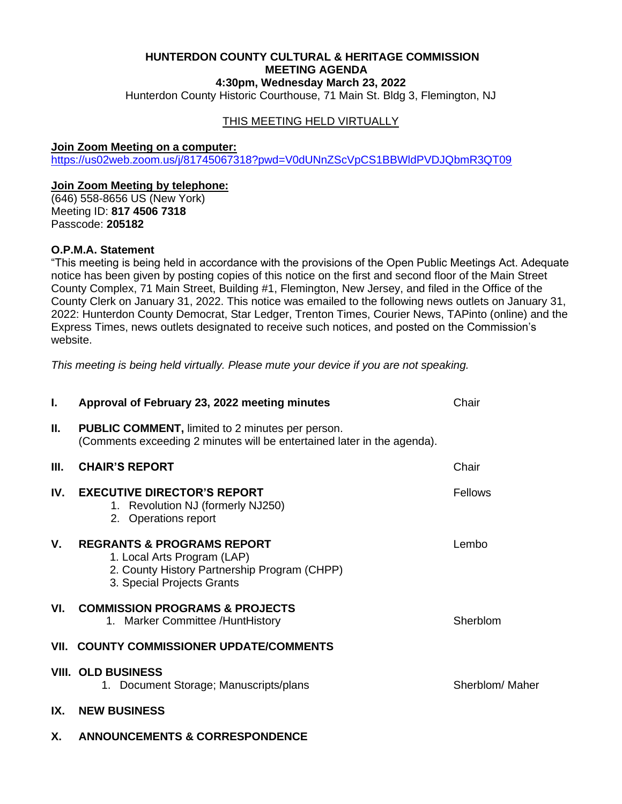## **HUNTERDON COUNTY CULTURAL & HERITAGE COMMISSION MEETING AGENDA 4:30pm, Wednesday March 23, 2022**

Hunterdon County Historic Courthouse, 71 Main St. Bldg 3, Flemington, NJ

# THIS MEETING HELD VIRTUALLY

#### **Join Zoom Meeting on a computer:**

<https://us02web.zoom.us/j/81745067318?pwd=V0dUNnZScVpCS1BBWldPVDJQbmR3QT09>

#### **Join Zoom Meeting by telephone:**

(646) 558-8656 US (New York) Meeting ID: **817 4506 7318** Passcode: **205182**

## **O.P.M.A. Statement**

"This meeting is being held in accordance with the provisions of the Open Public Meetings Act. Adequate notice has been given by posting copies of this notice on the first and second floor of the Main Street County Complex, 71 Main Street, Building #1, Flemington, New Jersey, and filed in the Office of the County Clerk on January 31, 2022. This notice was emailed to the following news outlets on January 31, 2022: Hunterdon County Democrat, Star Ledger, Trenton Times, Courier News, TAPinto (online) and the Express Times, news outlets designated to receive such notices, and posted on the Commission's website.

*This meeting is being held virtually. Please mute your device if you are not speaking.*

| L.   | Approval of February 23, 2022 meeting minutes                                                                                                      | Chair           |
|------|----------------------------------------------------------------------------------------------------------------------------------------------------|-----------------|
| П.   | <b>PUBLIC COMMENT, limited to 2 minutes per person.</b><br>(Comments exceeding 2 minutes will be entertained later in the agenda).                 |                 |
| III. | <b>CHAIR'S REPORT</b>                                                                                                                              | Chair           |
| IV.  | <b>EXECUTIVE DIRECTOR'S REPORT</b><br>1. Revolution NJ (formerly NJ250)<br>2. Operations report                                                    | Fellows         |
| V.   | <b>REGRANTS &amp; PROGRAMS REPORT</b><br>1. Local Arts Program (LAP)<br>2. County History Partnership Program (CHPP)<br>3. Special Projects Grants | Lembo           |
| VI.  | <b>COMMISSION PROGRAMS &amp; PROJECTS</b><br>1. Marker Committee / Hunt History                                                                    | Sherblom        |
|      | VII. COUNTY COMMISSIONER UPDATE/COMMENTS                                                                                                           |                 |
|      | <b>VIII. OLD BUSINESS</b><br>1. Document Storage; Manuscripts/plans                                                                                | Sherblom/ Maher |
| IX.  | <b>NEW BUSINESS</b>                                                                                                                                |                 |
| Х.   | <b>ANNOUNCEMENTS &amp; CORRESPONDENCE</b>                                                                                                          |                 |